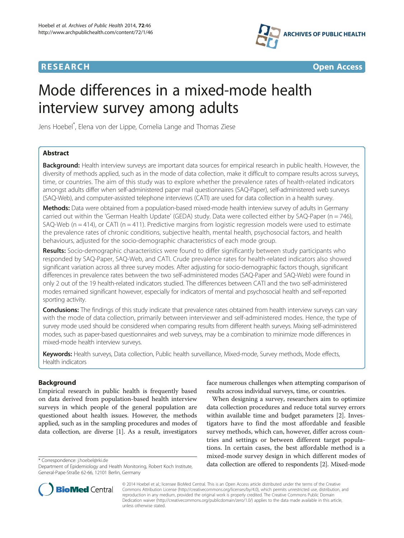

**RESEARCH RESEARCH** *CHECK CHECK CHECK CHECK CHECK CHECK CHECK CHECK CHECK CHECK CHECK CHECK CHECK CHECK CHECK CHECK CHECK CHECK CHECK CHECK CHECK CHECK CHECK CHECK CHECK CHECK CHECK CHECK CHECK CHECK CHECK CHECK CHECK* 

# Mode differences in a mixed-mode health interview survey among adults

Jens Hoebel\* , Elena von der Lippe, Cornelia Lange and Thomas Ziese

# Abstract

Background: Health interview surveys are important data sources for empirical research in public health. However, the diversity of methods applied, such as in the mode of data collection, make it difficult to compare results across surveys, time, or countries. The aim of this study was to explore whether the prevalence rates of health-related indicators amongst adults differ when self-administered paper mail questionnaires (SAQ-Paper), self-administered web surveys (SAQ-Web), and computer-assisted telephone interviews (CATI) are used for data collection in a health survey.

Methods: Data were obtained from a population-based mixed-mode health interview survey of adults in Germany carried out within the 'German Health Update' (GEDA) study. Data were collected either by SAQ-Paper (n = 746), SAQ-Web ( $n = 414$ ), or CATI ( $n = 411$ ). Predictive margins from logistic regression models were used to estimate the prevalence rates of chronic conditions, subjective health, mental health, psychosocial factors, and health behaviours, adjusted for the socio-demographic characteristics of each mode group.

Results: Socio-demographic characteristics were found to differ significantly between study participants who responded by SAQ-Paper, SAQ-Web, and CATI. Crude prevalence rates for health-related indicators also showed significant variation across all three survey modes. After adjusting for socio-demographic factors though, significant differences in prevalence rates between the two self-administered modes (SAQ-Paper and SAQ-Web) were found in only 2 out of the 19 health-related indicators studied. The differences between CATI and the two self-administered modes remained significant however, especially for indicators of mental and psychosocial health and self-reported sporting activity.

**Conclusions:** The findings of this study indicate that prevalence rates obtained from health interview surveys can vary with the mode of data collection, primarily between interviewer and self-administered modes. Hence, the type of survey mode used should be considered when comparing results from different health surveys. Mixing self-administered modes, such as paper-based questionnaires and web surveys, may be a combination to minimize mode differences in mixed-mode health interview surveys.

Keywords: Health surveys, Data collection, Public health surveillance, Mixed-mode, Survey methods, Mode effects, Health indicators

# Background

Empirical research in public health is frequently based on data derived from population-based health interview surveys in which people of the general population are questioned about health issues. However, the methods applied, such as in the sampling procedures and modes of data collection, are diverse [\[1](#page-10-0)]. As a result, investigators

face numerous challenges when attempting comparison of results across individual surveys, time, or countries.

When designing a survey, researchers aim to optimize data collection procedures and reduce total survey errors within available time and budget parameters [\[2](#page-10-0)]. Investigators have to find the most affordable and feasible survey methods, which can, however, differ across countries and settings or between different target populations. In certain cases, the best affordable method is a mixed-mode survey design in which different modes of data collection are offered to respondents [\[2\]](#page-10-0). Mixed-mode \* Correspondence: [j.hoebel@rki.de](mailto:j.hoebel@rki.de)



© 2014 Hoebel et al.; licensee BioMed Central. This is an Open Access article distributed under the terms of the Creative Commons Attribution License [\(http://creativecommons.org/licenses/by/4.0\)](http://creativecommons.org/licenses/by/4.0), which permits unrestricted use, distribution, and reproduction in any medium, provided the original work is properly credited. The Creative Commons Public Domain Dedication waiver [\(http://creativecommons.org/publicdomain/zero/1.0/](http://creativecommons.org/publicdomain/zero/1.0/)) applies to the data made available in this article, unless otherwise stated.

Department of Epidemiology and Health Monitoring, Robert Koch Institute, General-Pape-Straße 62-66, 12101 Berlin, Germany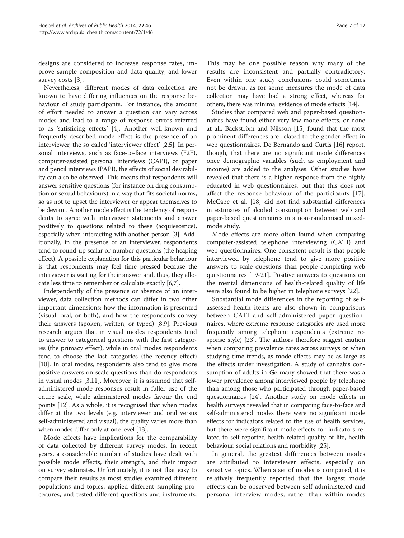designs are considered to increase response rates, improve sample composition and data quality, and lower survey costs [[3](#page-10-0)].

Nevertheless, different modes of data collection are known to have differing influences on the response behaviour of study participants. For instance, the amount of effort needed to answer a question can vary across modes and lead to a range of response errors referred to as 'satisficing effects' [[4](#page-10-0)]. Another well-known and frequently described mode effect is the presence of an interviewer, the so called 'interviewer effect' [\[2,5\]](#page-10-0). In personal interviews, such as face-to-face interviews (F2F), computer-assisted personal interviews (CAPI), or paper and pencil interviews (PAPI), the effects of social desirability can also be observed. This means that respondents will answer sensitive questions (for instance on drug consumption or sexual behaviours) in a way that fits societal norms, so as not to upset the interviewer or appear themselves to be deviant. Another mode effect is the tendency of respondents to agree with interviewer statements and answer positively to questions related to these (acquiescence), especially when interacting with another person [[3\]](#page-10-0). Additionally, in the presence of an interviewer, respondents tend to round-up scalar or number questions (the heaping effect). A possible explanation for this particular behaviour is that respondents may feel time pressed because the interviewer is waiting for their answer and, thus, they allocate less time to remember or calculate exactly [\[6,7\]](#page-10-0).

Independently of the presence or absence of an interviewer, data collection methods can differ in two other important dimensions: how the information is presented (visual, oral, or both), and how the respondents convey their answers (spoken, written, or typed) [\[8,9](#page-10-0)]. Previous research argues that in visual modes respondents tend to answer to categorical questions with the first categories (the primacy effect), while in oral modes respondents tend to choose the last categories (the recency effect) [[10\]](#page-10-0). In oral modes, respondents also tend to give more positive answers on scale questions than do respondents in visual modes [\[3,11](#page-10-0)]. Moreover, it is assumed that selfadministered mode responses result in fuller use of the entire scale, while administered modes favour the end points [[12](#page-10-0)]. As a whole, it is recognised that when modes differ at the two levels (e.g. interviewer and oral versus self-administered and visual), the quality varies more than when modes differ only at one level [\[13\]](#page-10-0).

Mode effects have implications for the comparability of data collected by different survey modes. In recent years, a considerable number of studies have dealt with possible mode effects, their strength, and their impact on survey estimates. Unfortunately, it is not that easy to compare their results as most studies examined different populations and topics, applied different sampling procedures, and tested different questions and instruments.

This may be one possible reason why many of the results are inconsistent and partially contradictory. Even within one study conclusions could sometimes not be drawn, as for some measures the mode of data collection may have had a strong effect, whereas for others, there was minimal evidence of mode effects [[14](#page-10-0)].

Studies that compared web and paper-based questionnaires have found either very few mode effects, or none at all. Bäckström and Nilsson [\[15](#page-10-0)] found that the most prominent differences are related to the gender effect in web questionnaires. De Bernando and Curtis [\[16\]](#page-10-0) report, though, that there are no significant mode differences once demographic variables (such as employment and income) are added to the analyses. Other studies have revealed that there is a higher response from the highly educated in web questionnaires, but that this does not affect the response behaviour of the participants [\[17](#page-10-0)]. McCabe et al. [\[18](#page-10-0)] did not find substantial differences in estimates of alcohol consumption between web and paper-based questionnaires in a non-randomised mixedmode study.

Mode effects are more often found when comparing computer-assisted telephone interviewing (CATI) and web questionnaires. One consistent result is that people interviewed by telephone tend to give more positive answers to scale questions than people completing web questionnaires [[19-21\]](#page-10-0). Positive answers to questions on the mental dimensions of health-related quality of life were also found to be higher in telephone surveys [\[22](#page-10-0)].

Substantial mode differences in the reporting of selfassessed health items are also shown in comparisons between CATI and self-administered paper questionnaires, where extreme response categories are used more frequently among telephone respondents (extreme response style) [[23](#page-10-0)]. The authors therefore suggest caution when comparing prevalence rates across surveys or when studying time trends, as mode effects may be as large as the effects under investigation. A study of cannabis consumption of adults in Germany showed that there was a lower prevalence among interviewed people by telephone than among those who participated through paper-based questionnaires [\[24\]](#page-10-0). Another study on mode effects in health surveys revealed that in comparing face-to-face and self-administered modes there were no significant mode effects for indicators related to the use of health services, but there were significant mode effects for indicators related to self-reported health-related quality of life, health behaviour, social relations and morbidity [\[25\]](#page-10-0).

In general, the greatest differences between modes are attributed to interviewer effects, especially on sensitive topics. When a set of modes is compared, it is relatively frequently reported that the largest mode effects can be observed between self-administered and personal interview modes, rather than within modes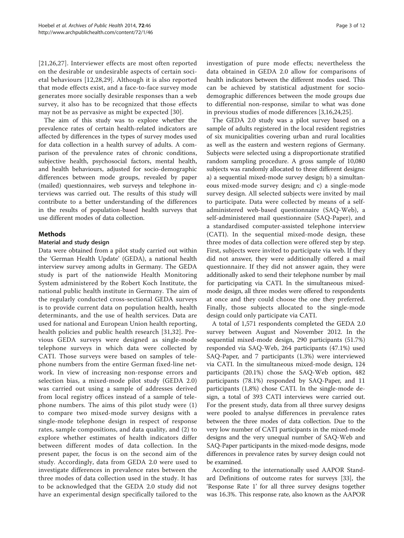[[21](#page-10-0),[26,27](#page-10-0)]. Interviewer effects are most often reported on the desirable or undesirable aspects of certain societal behaviours [[12,28,29](#page-10-0)]. Although it is also reported that mode effects exist, and a face-to-face survey mode generates more socially desirable responses than a web survey, it also has to be recognized that those effects may not be as pervasive as might be expected [[30\]](#page-11-0).

The aim of this study was to explore whether the prevalence rates of certain health-related indicators are affected by differences in the types of survey modes used for data collection in a health survey of adults. A comparison of the prevalence rates of chronic conditions, subjective health, psychosocial factors, mental health, and health behaviours, adjusted for socio-demographic differences between mode groups, revealed by paper (mailed) questionnaires, web surveys and telephone interviews was carried out. The results of this study will contribute to a better understanding of the differences in the results of population-based health surveys that use different modes of data collection.

# Methods

#### Material and study design

Data were obtained from a pilot study carried out within the 'German Health Update' (GEDA), a national health interview survey among adults in Germany. The GEDA study is part of the nationwide Health Monitoring System administered by the Robert Koch Institute, the national public health institute in Germany. The aim of the regularly conducted cross-sectional GEDA surveys is to provide current data on population health, health determinants, and the use of health services. Data are used for national and European Union health reporting, health policies and public health research [\[31](#page-11-0),[32\]](#page-11-0). Previous GEDA surveys were designed as single-mode telephone surveys in which data were collected by CATI. Those surveys were based on samples of telephone numbers from the entire German fixed-line network. In view of increasing non-response errors and selection bias, a mixed-mode pilot study (GEDA 2.0) was carried out using a sample of addresses derived from local registry offices instead of a sample of telephone numbers. The aims of this pilot study were (1) to compare two mixed-mode survey designs with a single-mode telephone design in respect of response rates, sample compositions, and data quality, and (2) to explore whether estimates of health indicators differ between different modes of data collection. In the present paper, the focus is on the second aim of the study. Accordingly, data from GEDA 2.0 were used to investigate differences in prevalence rates between the three modes of data collection used in the study. It has to be acknowledged that the GEDA 2.0 study did not have an experimental design specifically tailored to the

investigation of pure mode effects; nevertheless the data obtained in GEDA 2.0 allow for comparisons of health indicators between the different modes used. This can be achieved by statistical adjustment for sociodemographic differences between the mode groups due to differential non-response, similar to what was done in previous studies of mode differences [[3,16,24,25\]](#page-10-0).

The GEDA 2.0 study was a pilot survey based on a sample of adults registered in the local resident registries of six municipalities covering urban and rural localities as well as the eastern and western regions of Germany. Subjects were selected using a disproportionate stratified random sampling procedure. A gross sample of 10,080 subjects was randomly allocated to three different designs: a) a sequential mixed-mode survey design; b) a simultaneous mixed-mode survey design; and c) a single-mode survey design. All selected subjects were invited by mail to participate. Data were collected by means of a selfadministered web-based questionnaire (SAQ-Web), a self-administered mail questionnaire (SAQ-Paper), and a standardised computer-assisted telephone interview (CATI). In the sequential mixed-mode design, these three modes of data collection were offered step by step. First, subjects were invited to participate via web. If they did not answer, they were additionally offered a mail questionnaire. If they did not answer again, they were additionally asked to send their telephone number by mail for participating via CATI. In the simultaneous mixedmode design, all three modes were offered to respondents at once and they could choose the one they preferred. Finally, those subjects allocated to the single-mode design could only participate via CATI.

A total of 1,571 respondents completed the GEDA 2.0 survey between August and November 2012. In the sequential mixed-mode design, 290 participants (51.7%) responded via SAQ-Web, 264 participants (47.1%) used SAQ-Paper, and 7 participants (1.3%) were interviewed via CATI. In the simultaneous mixed-mode design, 124 participants (20.1%) chose the SAQ-Web option, 482 participants (78.1%) responded by SAQ-Paper, and 11 participants (1,8%) chose CATI. In the single-mode design, a total of 393 CATI interviews were carried out. For the present study, data from all three survey designs were pooled to analyse differences in prevalence rates between the three modes of data collection. Due to the very low number of CATI participants in the mixed-mode designs and the very unequal number of SAQ-Web and SAQ-Paper participants in the mixed-mode designs, mode differences in prevalence rates by survey design could not be examined.

According to the internationally used AAPOR Standard Definitions of outcome rates for surveys [[33](#page-11-0)], the 'Response Rate 1' for all three survey designs together was 16.3%. This response rate, also known as the AAPOR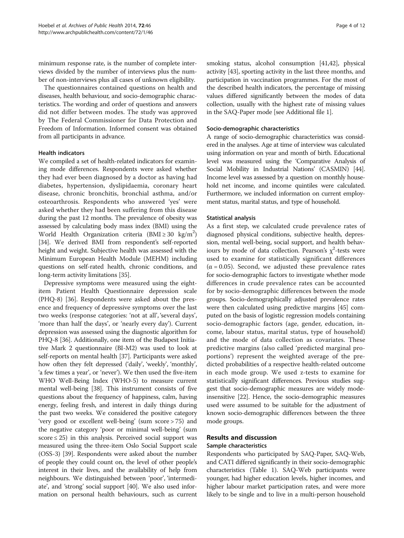minimum response rate, is the number of complete interviews divided by the number of interviews plus the number of non-interviews plus all cases of unknown eligibility.

The questionnaires contained questions on health and diseases, health behaviour, and socio-demographic characteristics. The wording and order of questions and answers did not differ between modes. The study was approved by The Federal Commissioner for Data Protection and Freedom of Information. Informed consent was obtained from all participants in advance.

#### Health indicators

We compiled a set of health-related indicators for examining mode differences. Respondents were asked whether they had ever been diagnosed by a doctor as having had diabetes, hypertension, dyslipidaemia, coronary heart disease, chronic bronchitis, bronchial asthma, and/or osteoarthrosis. Respondents who answered 'yes' were asked whether they had been suffering from this disease during the past 12 months. The prevalence of obesity was assessed by calculating body mass index (BMI) using the World Health Organization criteria (BMI  $\geq$  30 kg/m<sup>2</sup>) [[34](#page-11-0)]. We derived BMI from respondent's self-reported height and weight. Subjective health was assessed with the Minimum European Health Module (MEHM) including questions on self-rated health, chronic conditions, and long-term activity limitations [\[35\]](#page-11-0).

Depressive symptoms were measured using the eightitem Patient Health Questionnaire depression scale (PHQ-8) [[36](#page-11-0)]. Respondents were asked about the presence and frequency of depressive symptoms over the last two weeks (response categories: 'not at all', 'several days', 'more than half the days', or 'nearly every day'). Current depression was assessed using the diagnostic algorithm for PHQ-8 [\[36\]](#page-11-0). Additionally, one item of the Budapest Initiative Mark 2 questionnaire (BI-M2) was used to look at self-reports on mental health [[37](#page-11-0)]. Participants were asked how often they felt depressed ('daily', 'weekly', 'monthly', 'a few times a year', or 'never'). We then used the five-item WHO Well-Being Index (WHO-5) to measure current mental well-being [[38](#page-11-0)]. This instrument consists of five questions about the frequency of happiness, calm, having energy, feeling fresh, and interest in daily things during the past two weeks. We considered the positive category 'very good or excellent well-being' (sum score > 75) and the negative category 'poor or minimal well-being' (sum score ≤ 25) in this analysis. Perceived social support was measured using the three-item Oslo Social Support scale (OSS-3) [\[39](#page-11-0)]. Respondents were asked about the number of people they could count on, the level of other people's interest in their lives, and the availability of help from neighbours. We distinguished between 'poor', 'intermediate', and 'strong' social support [\[40\]](#page-11-0). We also used information on personal health behaviours, such as current smoking status, alcohol consumption [[41](#page-11-0),[42](#page-11-0)], physical activity [[43](#page-11-0)], sporting activity in the last three months, and participation in vaccination programmes. For the most of the described health indicators, the percentage of missing values differed significantly between the modes of data collection, usually with the highest rate of missing values in the SAQ-Paper mode [see Additional file [1\]](#page-10-0).

#### Socio-demographic characteristics

A range of socio-demographic characteristics was considered in the analyses. Age at time of interview was calculated using information on year and month of birth. Educational level was measured using the 'Comparative Analysis of Social Mobility in Industrial Nations' (CASMIN) [\[44](#page-11-0)]. Income level was assessed by a question on monthly household net income, and income quintiles were calculated. Furthermore, we included information on current employment status, marital status, and type of household.

#### Statistical analysis

As a first step, we calculated crude prevalence rates of diagnosed physical conditions, subjective health, depression, mental well-being, social support, and health behaviours by mode of data collection. Pearson's  $\chi^2$ -tests were used to examine for statistically significant differences  $(\alpha = 0.05)$ . Second, we adjusted these prevalence rates for socio-demographic factors to investigate whether mode differences in crude prevalence rates can be accounted for by socio-demographic differences between the mode groups. Socio-demographically adjusted prevalence rates were then calculated using predictive margins [[45\]](#page-11-0) computed on the basis of logistic regression models containing socio-demographic factors (age, gender, education, income, labour status, marital status, type of household) and the mode of data collection as covariates. These predictive margins (also called 'predicted marginal proportions') represent the weighted average of the predicted probabilities of a respective health-related outcome in each mode group. We used z-tests to examine for statistically significant differences. Previous studies suggest that socio-demographic measures are widely modeinsensitive [\[22](#page-10-0)]. Hence, the socio-demographic measures used were assumed to be suitable for the adjustment of known socio-demographic differences between the three mode groups.

# Results and discussion

### Sample characteristics

Respondents who participated by SAQ-Paper, SAQ-Web, and CATI differed significantly in their socio-demographic characteristics (Table [1\)](#page-4-0). SAQ-Web participants were younger, had higher education levels, higher incomes, and higher labour market participation rates, and were more likely to be single and to live in a multi-person household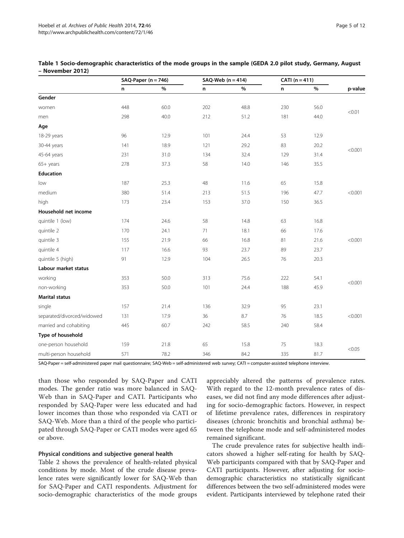|                            | SAQ-Paper ( $n = 746$ ) |      | $SAQ-Web (n = 414)$ |      | $CATI (n = 411)$ |      |         |
|----------------------------|-------------------------|------|---------------------|------|------------------|------|---------|
|                            | n                       | $\%$ | n                   | $\%$ | n                | $\%$ | p-value |
| Gender                     |                         |      |                     |      |                  |      |         |
| women                      | 448                     | 60.0 | 202                 | 48.8 | 230              | 56.0 | < 0.01  |
| men                        | 298                     | 40.0 | 212                 | 51.2 | 181              | 44.0 |         |
| Age                        |                         |      |                     |      |                  |      |         |
| 18-29 years                | 96                      | 12.9 | 101                 | 24.4 | 53               | 12.9 |         |
| 30-44 years                | 141                     | 18.9 | 121                 | 29.2 | 83               | 20.2 | < 0.001 |
| 45-64 years                | 231                     | 31.0 | 134                 | 32.4 | 129              | 31.4 |         |
| $65+$ years                | 278                     | 37.3 | 58                  | 14.0 | 146              | 35.5 |         |
| <b>Education</b>           |                         |      |                     |      |                  |      |         |
| low                        | 187                     | 25.3 | 48                  | 11.6 | 65               | 15.8 |         |
| medium                     | 380                     | 51.4 | 213                 | 51.5 | 196              | 47.7 | < 0.001 |
| high                       | 173                     | 23.4 | 153                 | 37.0 | 150              | 36.5 |         |
| Household net income       |                         |      |                     |      |                  |      |         |
| quintile 1 (low)           | 174                     | 24.6 | 58                  | 14.8 | 63               | 16.8 |         |
| quintile 2                 | 170                     | 24.1 | 71                  | 18.1 | 66               | 17.6 |         |
| quintile 3                 | 155                     | 21.9 | 66                  | 16.8 | 81               | 21.6 | < 0.001 |
| quintile 4                 | 117                     | 16.6 | 93                  | 23.7 | 89               | 23.7 |         |
| quintile 5 (high)          | 91                      | 12.9 | 104                 | 26.5 | 76               | 20.3 |         |
| Labour market status       |                         |      |                     |      |                  |      |         |
| working                    | 353                     | 50.0 | 313                 | 75.6 | 222              | 54.1 |         |
| non-working                | 353                     | 50.0 | 101                 | 24.4 | 188              | 45.9 | < 0.001 |
| <b>Marital status</b>      |                         |      |                     |      |                  |      |         |
| single                     | 157                     | 21.4 | 136                 | 32.9 | 95               | 23.1 |         |
| separated/divorced/widowed | 131                     | 17.9 | 36                  | 8.7  | 76               | 18.5 | < 0.001 |
| married and cohabiting     | 445                     | 60.7 | 242                 | 58.5 | 240              | 58.4 |         |
| Type of household          |                         |      |                     |      |                  |      |         |
| one-person household       | 159                     | 21.8 | 65                  | 15.8 | 75               | 18.3 |         |
| multi-person household     | 571                     | 78.2 | 346                 | 84.2 | 335              | 81.7 | < 0.05  |

<span id="page-4-0"></span>Table 1 Socio-demographic characteristics of the mode groups in the sample (GEDA 2.0 pilot study, Germany, August – November 2012)

SAQ-Paper = self-administered paper mail questionnaire; SAQ-Web = self-administered web survey; CATI = computer-assisted telephone interview.

than those who responded by SAQ-Paper and CATI modes. The gender ratio was more balanced in SAQ-Web than in SAQ-Paper and CATI. Participants who responded by SAQ-Paper were less educated and had lower incomes than those who responded via CATI or SAQ-Web. More than a third of the people who participated through SAQ-Paper or CATI modes were aged 65 or above.

# Physical conditions and subjective general health

Table [2](#page-5-0) shows the prevalence of health-related physical conditions by mode. Most of the crude disease prevalence rates were significantly lower for SAQ-Web than for SAQ-Paper and CATI respondents. Adjustment for socio-demographic characteristics of the mode groups

appreciably altered the patterns of prevalence rates. With regard to the 12-month prevalence rates of diseases, we did not find any mode differences after adjusting for socio-demographic factors. However, in respect of lifetime prevalence rates, differences in respiratory diseases (chronic bronchitis and bronchial asthma) between the telephone mode and self-administered modes remained significant.

The crude prevalence rates for subjective health indicators showed a higher self-rating for health by SAQ-Web participants compared with that by SAQ-Paper and CATI participants. However, after adjusting for sociodemographic characteristics no statistically significant differences between the two self-administered modes were evident. Participants interviewed by telephone rated their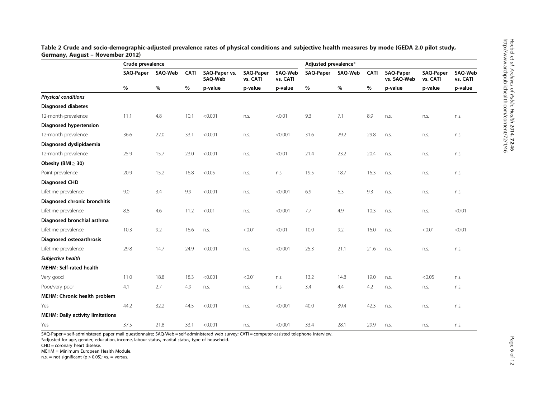|                                         | Crude prevalence |         |             |                          |                       |                     |           | Adjusted prevalence* |             |                          |                       |                     |  |  |
|-----------------------------------------|------------------|---------|-------------|--------------------------|-----------------------|---------------------|-----------|----------------------|-------------|--------------------------|-----------------------|---------------------|--|--|
|                                         | SAQ-Paper        | SAQ-Web | <b>CATI</b> | SAQ-Paper vs.<br>SAQ-Web | SAQ-Paper<br>vs. CATI | SAO-Web<br>vs. CATI | SAQ-Paper | SAQ-Web              | <b>CATI</b> | SAQ-Paper<br>vs. SAQ-Web | SAQ-Paper<br>vs. CATI | SAQ-Web<br>vs. CATI |  |  |
|                                         | $\%$             | %       | $\%$        | p-value                  | p-value               | p-value             | $\%$      | %                    | $\%$        | p-value                  | p-value               | p-value             |  |  |
| <b>Physical conditions</b>              |                  |         |             |                          |                       |                     |           |                      |             |                          |                       |                     |  |  |
| <b>Diagnosed diabetes</b>               |                  |         |             |                          |                       |                     |           |                      |             |                          |                       |                     |  |  |
| 12-month-prevalence                     | 11.1             | 4.8     | 10.1        | < 0.001                  | n.s.                  | < 0.01              | 9.3       | 7.1                  | 8.9         | n.s.                     | n.s.                  | n.s.                |  |  |
| Diagnosed hypertension                  |                  |         |             |                          |                       |                     |           |                      |             |                          |                       |                     |  |  |
| 12-month prevalence                     | 36.6             | 22.0    | 33.1        | < 0.001                  | n.s.                  | < 0.001             | 31.6      | 29.2                 | 29.8        | n.s.                     | n.s.                  | n.s.                |  |  |
| Diagnosed dyslipidaemia                 |                  |         |             |                          |                       |                     |           |                      |             |                          |                       |                     |  |  |
| 12-month prevalence                     | 25.9             | 15.7    | 23.0        | < 0.001                  | n.s.                  | < 0.01              | 21.4      | 23.2                 | 20.4        | n.s.                     | n.s.                  | n.s.                |  |  |
| Obesity (BMI $\geq$ 30)                 |                  |         |             |                          |                       |                     |           |                      |             |                          |                       |                     |  |  |
| Point prevalence                        | 20.9             | 15.2    | 16.8        | < 0.05                   | n.s.                  | n.s.                | 19.5      | 18.7                 | 16.3        | n.s.                     | n.s.                  | n.s.                |  |  |
| <b>Diagnosed CHD</b>                    |                  |         |             |                          |                       |                     |           |                      |             |                          |                       |                     |  |  |
| Lifetime prevalence                     | 9.0              | 3.4     | 9.9         | < 0.001                  | n.s.                  | < 0.001             | 6.9       | 6.3                  | 9.3         | n.s.                     | n.s.                  | n.s.                |  |  |
| Diagnosed chronic bronchitis            |                  |         |             |                          |                       |                     |           |                      |             |                          |                       |                     |  |  |
| Lifetime prevalence                     | 8.8              | 4.6     | 11.2        | < 0.01                   | n.s.                  | < 0.001             | 7.7       | 4.9                  | 10.3        | n.s.                     | n.s.                  | < 0.01              |  |  |
| Diagnosed bronchial asthma              |                  |         |             |                          |                       |                     |           |                      |             |                          |                       |                     |  |  |
| Lifetime prevalence                     | 10.3             | 9.2     | 16.6        | n.s.                     | < 0.01                | < 0.01              | 10.0      | 9.2                  | 16.0        | n.s.                     | < 0.01                | < 0.01              |  |  |
| Diagnosed osteoarthrosis                |                  |         |             |                          |                       |                     |           |                      |             |                          |                       |                     |  |  |
| Lifetime prevalence                     | 29.8             | 14.7    | 24.9        | < 0.001                  | n.s.                  | < 0.001             | 25.3      | 21.1                 | 21.6        | n.s.                     | n.s.                  | n.s.                |  |  |
| Subjective health                       |                  |         |             |                          |                       |                     |           |                      |             |                          |                       |                     |  |  |
| <b>MEHM: Self-rated health</b>          |                  |         |             |                          |                       |                     |           |                      |             |                          |                       |                     |  |  |
| Very good                               | 11.0             | 18.8    | 18.3        | < 0.001                  | < 0.01                | n.s.                | 13.2      | 14.8                 | 19.0        | n.s.                     | < 0.05                | n.S.                |  |  |
| Poor/very poor                          | 4.1              | 2.7     | 4.9         | n.s.                     | n.s.                  | n.s.                | 3.4       | 4.4                  | 4.2         | n.s.                     | n.s.                  | n.s.                |  |  |
| MEHM: Chronic health problem            |                  |         |             |                          |                       |                     |           |                      |             |                          |                       |                     |  |  |
| Yes                                     | 44.2             | 32.2    | 44.5        | < 0.001                  | n.s.                  | < 0.001             | 40.0      | 39.4                 | 42.3        | n.s.                     | n.s.                  | n.s.                |  |  |
| <b>MEHM: Daily activity limitations</b> |                  |         |             |                          |                       |                     |           |                      |             |                          |                       |                     |  |  |
| Yes                                     | 37.5             | 21.8    | 33.1        | < 0.001                  | n.s.                  | < 0.001             | 33.4      | 28.1                 | 29.9        | n.s.                     | n.s.                  | n.s.                |  |  |

<span id="page-5-0"></span>Table 2 Crude and socio-demographic-adjusted prevalence rates of physical conditions and subjective health measures by mode (GEDA 2.0 pilot study, Germany, August – November 2012)

SAQ-Paper = self-administered paper mail questionnaire; SAQ-Web = self-administered web survey; CATI = computer-assisted telephone interview.

\*adjusted for age, gender, education, income, labour status, marital status, type of household.

 $CHO = \text{coronary heart disease.}$ 

MEHM = Minimum European Health Module.

n.s. = not significant ( $p > 0.05$ ); vs. = versus.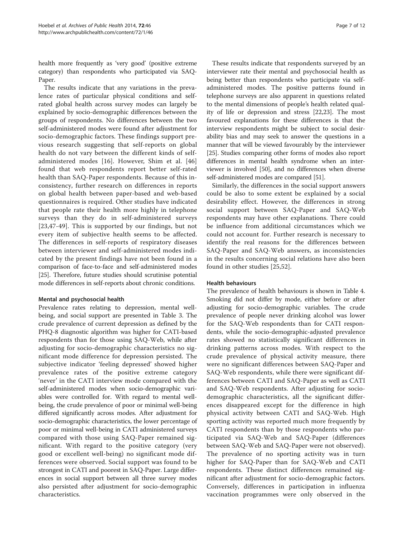health more frequently as 'very good' (positive extreme category) than respondents who participated via SAQ-Paper.

The results indicate that any variations in the prevalence rates of particular physical conditions and selfrated global health across survey modes can largely be explained by socio-demographic differences between the groups of respondents. No differences between the two self-administered modes were found after adjustment for socio-demographic factors. These findings support previous research suggesting that self-reports on global health do not vary between the different kinds of selfadministered modes [[16](#page-10-0)]. However, Shim et al. [\[46](#page-11-0)] found that web respondents report better self-rated health than SAQ-Paper respondents. Because of this inconsistency, further research on differences in reports on global health between paper-based and web-based questionnaires is required. Other studies have indicated that people rate their health more highly in telephone surveys than they do in self-administered surveys [[23](#page-10-0)[,47-49](#page-11-0)]. This is supported by our findings, but not every item of subjective health seems to be affected. The differences in self-reports of respiratory diseases between interviewer and self-administered modes indicated by the present findings have not been found in a comparison of face-to-face and self-administered modes [[25](#page-10-0)]. Therefore, future studies should scrutinise potential mode differences in self-reports about chronic conditions.

# Mental and psychosocial health

Prevalence rates relating to depression, mental wellbeing, and social support are presented in Table [3](#page-7-0). The crude prevalence of current depression as defined by the PHQ-8 diagnostic algorithm was higher for CATI-based respondents than for those using SAQ-Web, while after adjusting for socio-demographic characteristics no significant mode difference for depression persisted. The subjective indicator 'feeling depressed' showed higher prevalence rates of the positive extreme category 'never' in the CATI interview mode compared with the self-administered modes when socio-demographic variables were controlled for. With regard to mental wellbeing, the crude prevalence of poor or minimal well-being differed significantly across modes. After adjustment for socio-demographic characteristics, the lower percentage of poor or minimal well-being in CATI administered surveys compared with those using SAQ-Paper remained significant. With regard to the positive category (very good or excellent well-being) no significant mode differences were observed. Social support was found to be strongest in CATI and poorest in SAQ-Paper. Large differences in social support between all three survey modes also persisted after adjustment for socio-demographic characteristics.

These results indicate that respondents surveyed by an interviewer rate their mental and psychosocial health as being better than respondents who participate via selfadministered modes. The positive patterns found in telephone surveys are also apparent in questions related to the mental dimensions of people's health related quality of life or depression and stress [[22,23](#page-10-0)]. The most favoured explanations for these differences is that the interview respondents might be subject to social desirability bias and may seek to answer the questions in a manner that will be viewed favourably by the interviewer [[25](#page-10-0)]. Studies comparing other forms of modes also report differences in mental health syndrome when an interviewer is involved [[50](#page-11-0)], and no differences when diverse self-administered modes are compared [\[51\]](#page-11-0).

Similarly, the differences in the social support answers could be also to some extent be explained by a social desirability effect. However, the differences in strong social support between SAQ-Paper and SAQ-Web respondents may have other explanations. There could be influence from additional circumstances which we could not account for. Further research is necessary to identify the real reasons for the differences between SAQ-Paper and SAQ-Web answers, as inconsistencies in the results concerning social relations have also been found in other studies [\[25](#page-10-0),[52\]](#page-11-0).

#### Health behaviours

The prevalence of health behaviours is shown in Table [4](#page-8-0). Smoking did not differ by mode, either before or after adjusting for socio-demographic variables. The crude prevalence of people never drinking alcohol was lower for the SAQ-Web respondents than for CATI respondents, while the socio-demographic-adjusted prevalence rates showed no statistically significant differences in drinking patterns across modes. With respect to the crude prevalence of physical activity measure, there were no significant differences between SAQ-Paper and SAQ-Web respondents, while there were significant differences between CATI and SAQ-Paper as well as CATI and SAQ-Web respondents. After adjusting for sociodemographic characteristics, all the significant differences disappeared except for the difference in high physical activity between CATI and SAQ-Web. High sporting activity was reported much more frequently by CATI respondents than by those respondents who participated via SAQ-Web and SAQ-Paper (differences between SAQ-Web and SAQ-Paper were not observed). The prevalence of no sporting activity was in turn higher for SAQ-Paper than for SAQ-Web and CATI respondents. These distinct differences remained significant after adjustment for socio-demographic factors. Conversely, differences in participation in influenza vaccination programmes were only observed in the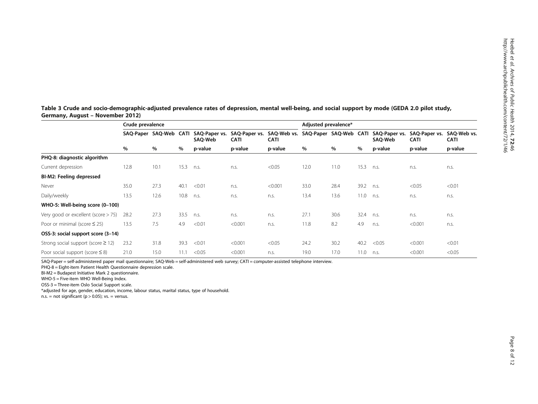<span id="page-7-0"></span>Table 3 Crude and socio-demographic-adjusted prevalence rates of depression, mental well-being, and social support by mode (GEDA 2.0 pilot study, Germany, August – November 2012)

|                                          | Crude prevalence       |      |      |                          |                              |                                                   | Adjusted prevalence* |      |      |                          |                              |                            |  |
|------------------------------------------|------------------------|------|------|--------------------------|------------------------------|---------------------------------------------------|----------------------|------|------|--------------------------|------------------------------|----------------------------|--|
|                                          | SAQ-Paper SAQ-Web CATI |      |      | SAQ-Paper vs.<br>SAQ-Web | SAQ-Paper vs.<br><b>CATI</b> | SAQ-Web vs. SAQ-Paper SAQ-Web CATI<br><b>CATI</b> |                      |      |      | SAQ-Paper vs.<br>SAQ-Web | SAQ-Paper vs.<br><b>CATI</b> | SAQ-Web vs.<br><b>CATI</b> |  |
|                                          | %                      | %    | %    | p-value                  | p-value                      | p-value                                           | %                    | %    | %    | p-value                  | p-value                      | p-value                    |  |
| PHQ-8: diagnostic algorithm              |                        |      |      |                          |                              |                                                   |                      |      |      |                          |                              |                            |  |
| Current depression                       | 12.8                   | 10.1 | 15.3 | n.S.                     | n.s.                         | < 0.05                                            | 12.0                 | 11.0 | 15.3 | n.s.                     | n.s.                         | n.s.                       |  |
| BI-M2: Feeling depressed                 |                        |      |      |                          |                              |                                                   |                      |      |      |                          |                              |                            |  |
| Never                                    | 35.0                   | 27.3 | 40.1 | < 0.01                   | n.s.                         | < 0.001                                           | 33.0                 | 28.4 | 39.2 | n.s.                     | < 0.05                       | < 0.01                     |  |
| Daily/weekly                             | 13.5                   | 12.6 | 10.8 | n.S.                     | n.s.                         | n.S.                                              | 13.4                 | 13.6 | 11.0 | n.s.                     | n.s.                         | n.s.                       |  |
| WHO-5: Well-being score (0-100)          |                        |      |      |                          |                              |                                                   |                      |      |      |                          |                              |                            |  |
| Very good or excellent (score > 75) 28.2 |                        | 27.3 | 33.5 | n.s.                     | n.S.                         | n.s.                                              | 27.1                 | 30.6 | 32.4 | n.s.                     | n.s.                         | n.s.                       |  |
| Poor or minimal (score $\leq$ 25)        | 13.5                   | 7.5  | 4.9  | < 0.01                   | < 0.001                      | n.S.                                              | 11.8                 | 8.2  | 4.9  | n.S.                     | < 0.001                      | n.s.                       |  |
| OSS-3: social support score (3-14)       |                        |      |      |                          |                              |                                                   |                      |      |      |                          |                              |                            |  |
| Strong social support (score $\geq$ 12)  | 23.2                   | 31.8 | 39.3 | < 0.01                   | < 0.001                      | < 0.05                                            | 24.2                 | 30.2 | 40.2 | < 0.05                   | < 0.001                      | < 0.01                     |  |
| Poor social support (score $\leq$ 8)     | 21.0                   | 15.0 | 11.1 | < 0.05                   | < 0.001                      | n.s.                                              | 19.0                 | 17.0 | 11.0 | n.s.                     | < 0.001                      | < 0.05                     |  |

SAQ-Paper = self-administered paper mail questionnaire; SAQ-Web = self-administered web survey; CATI = computer-assisted telephone interview.

PHQ-8 = Eight-item Patient Health Questionnaire depression scale.

BI-M2 = Budapest Initiative Mark 2 questionnaire.

WHO-5 = Five-item WHO Well-Being Index.

OSS-3 = Three-item Oslo Social Support scale.

\*adjusted for age, gender, education, income, labour status, marital status, type of household.

n.s. = not significant ( $p > 0.05$ ); vs. = versus.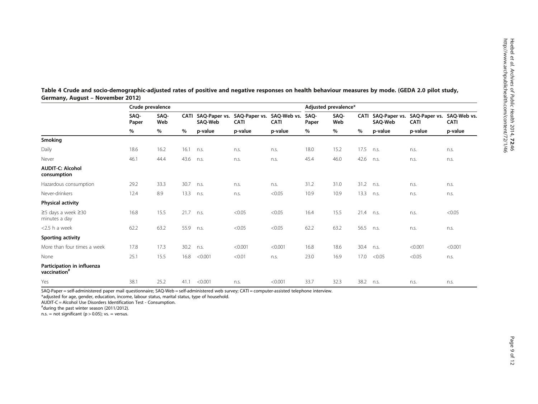Hoebel

|                                                        | Crude prevalence |             |             |                          |                                          |             | Adjusted prevalence* |             |             |         |                                            |                            |  |
|--------------------------------------------------------|------------------|-------------|-------------|--------------------------|------------------------------------------|-------------|----------------------|-------------|-------------|---------|--------------------------------------------|----------------------------|--|
|                                                        | SAQ-<br>Paper    | SAQ-<br>Web | <b>CATI</b> | SAQ-Paper vs.<br>SAQ-Web | SAQ-Paper vs. SAQ-Web vs.<br><b>CATI</b> | <b>CATI</b> | SAQ-<br>Paper        | SAQ-<br>Web | <b>CATI</b> | SAQ-Web | SAQ-Paper vs. SAQ-Paper vs.<br><b>CATI</b> | SAQ-Web vs.<br><b>CATI</b> |  |
|                                                        | $\%$             | %           | %           | p-value                  | p-value                                  | p-value     | $\%$                 | %           | $\%$        | p-value | p-value                                    | p-value                    |  |
| Smoking                                                |                  |             |             |                          |                                          |             |                      |             |             |         |                                            |                            |  |
| Daily                                                  | 18.6             | 16.2        | 16.1        | n.s.                     | n.s.                                     | n.s.        | 18.0                 | 15.2        | 17.5        | n.s.    | n.s.                                       | n.s.                       |  |
| Never                                                  | 46.1             | 44.4        | 43.6        | n.s.                     | n.s.                                     | n.s.        | 45.4                 | 46.0        | 42.6        | n.s.    | n.s.                                       | n.s.                       |  |
| <b>AUDIT-C: Alcohol</b><br>consumption                 |                  |             |             |                          |                                          |             |                      |             |             |         |                                            |                            |  |
| Hazardous consumption                                  | 29.2             | 33.3        | 30.7        | n.s.                     | n.s.                                     | n.s.        | 31.2                 | 31.0        | 31.2        | n.s.    | n.s.                                       | n.s.                       |  |
| Never-drinkers                                         | 12.4             | 8.9         | 13.3        | n.s.                     | n.s.                                     | < 0.05      | 10.9                 | 10.9        | 13.3        | n.s.    | n.s.                                       | n.s.                       |  |
| <b>Physical activity</b>                               |                  |             |             |                          |                                          |             |                      |             |             |         |                                            |                            |  |
| $≥5$ days a week $≥30$<br>minutes a day                | 16.8             | 15.5        | 21.7        | n.S.                     | < 0.05                                   | < 0.05      | 16.4                 | 15.5        | 21.4        | n.s.    | n.s.                                       | < 0.05                     |  |
| $<$ 2.5 h a week                                       | 62.2             | 63.2        | 55.9        | n.s.                     | < 0.05                                   | < 0.05      | 62.2                 | 63.2        | 56.5        | n.s.    | n.s.                                       | n.s.                       |  |
| Sporting activity                                      |                  |             |             |                          |                                          |             |                      |             |             |         |                                            |                            |  |
| More than four times a week                            | 17.8             | 17.3        | 30.2        | n.s.                     | < 0.001                                  | < 0.001     | 16.8                 | 18.6        | 30.4        | n.s.    | < 0.001                                    | < 0.001                    |  |
| None                                                   | 25.1             | 15.5        | 16.8        | < 0.001                  | < 0.01                                   | n.s.        | 23.0                 | 16.9        | 17.0        | < 0.05  | < 0.05                                     | n.s.                       |  |
| Participation in influenza<br>vaccination <sup>#</sup> |                  |             |             |                          |                                          |             |                      |             |             |         |                                            |                            |  |
| Yes                                                    | 38.1             | 25.2        | 41.1        | < 0.001                  | n.s.                                     | < 0.001     | 33.7                 | 32.3        | 38.2        | n.s.    | n.s.                                       | n.s.                       |  |

<span id="page-8-0"></span>Table 4 Crude and socio-demographic-adjusted rates of positive and negative responses on health behaviour measures by mode. (GEDA 2.0 pilot study, Germany, August – November 2012)

SAQ-Paper = self-administered paper mail questionnaire; SAQ-Web = self-administered web survey; CATI = computer-assisted telephone interview.

\*adjusted for age, gender, education, income, labour status, marital status, type of household.

AUDIT-C = Alcohol Use Disorders Identification Test - Consumption.

# during the past winter season (2011/2012).

n.s. = not significant ( $p > 0.05$ ); vs. = versus.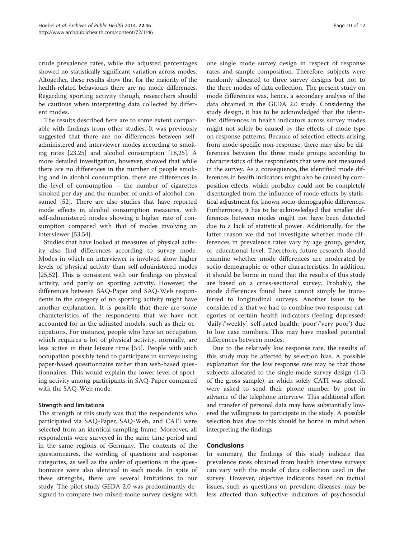crude prevalence rates, while the adjusted percentages showed no statistically significant variation across modes. Altogether, these results show that for the majority of the health-related behaviours there are no mode differences. Regarding sporting activity though, researchers should be cautious when interpreting data collected by different modes.

The results described here are to some extent comparable with findings from other studies. It was previously suggested that there are no differences between selfadministered and interviewer modes according to smoking rates [[23,25\]](#page-10-0) and alcohol consumption [\[18,25\]](#page-10-0). A more detailed investigation, however, showed that while there are no differences in the number of people smoking and in alcohol consumption, there are differences in the level of consumption – the number of cigarettes smoked per day and the number of units of alcohol consumed [[52](#page-11-0)]. There are also studies that have reported mode effects in alcohol consumption measures, with self-administered modes showing a higher rate of consumption compared with that of modes involving an interviewer [[53,54\]](#page-11-0).

Studies that have looked at measures of physical activity also find differences according to survey mode. Modes in which an interviewer is involved show higher levels of physical activity than self-administered modes [[25,](#page-10-0)[52\]](#page-11-0). This is consistent with our findings on physical activity, and partly on sporting activity. However, the differences between SAQ-Paper and SAQ-Web respondents in the category of no sporting activity might have another explanation. It is possible that there are some characteristics of the respondents that we have not accounted for in the adjusted models, such as their occupations. For instance, people who have an occupation which requires a lot of physical activity, normally, are less active in their leisure time [\[55](#page-11-0)]. People with such occupation possibly tend to participate in surveys using paper-based questionnaire rather than web-based questionnaires. This would explain the lower level of sporting activity among participants in SAQ-Paper compared with the SAQ-Web mode.

# Strength and limitations

The strength of this study was that the respondents who participated via SAQ-Paper, SAQ-Web, and CATI were selected from an identical sampling frame. Moreover, all respondents were surveyed in the same time period and in the same regions of Germany. The contents of the questionnaires, the wording of questions and response categories, as well as the order of questions in the questionnaire were also identical in each mode. In spite of these strengths, there are several limitations to our study. The pilot study GEDA 2.0 was predominantly designed to compare two mixed-mode survey designs with

one single mode survey design in respect of response rates and sample composition. Therefore, subjects were randomly allocated to three survey designs but not to the three modes of data collection. The present study on mode differences was, hence, a secondary analysis of the data obtained in the GEDA 2.0 study. Considering the study design, it has to be acknowledged that the identified differences in health indicators across survey modes might not solely be caused by the effects of mode type on response patterns. Because of selection effects arising from mode-specific non-response, there may also be differences between the three mode groups according to characteristics of the respondents that were not measured in the survey. As a consequence, the identified mode differences in health indicators might also be caused by composition effects, which probably could not be completely disentangled from the influence of mode effects by statistical adjustment for known socio-demographic differences. Furthermore, it has to be acknowledged that smaller differences between modes might not have been detected due to a lack of statistical power. Additionally, for the latter reason we did not investigate whether mode differences in prevalence rates vary by age group, gender, or educational level. Therefore, future research should examine whether mode differences are moderated by socio-demographic or other characteristics. In addition, it should be borne in mind that the results of this study are based on a cross-sectional survey. Probably, the mode differences found here cannot simply be transferred to longitudinal surveys. Another issue to be considered is that we had to combine two response categories of certain health indicators (feeling depressed: 'daily'/'weekly', self-rated health: 'poor'/'very poor') due to low case numbers. This may have masked potential differences between modes.

Due to the relatively low response rate, the results of this study may be affected by selection bias. A possible explanation for the low response rate may be that those subjects allocated to the single-mode survey design (1/3 of the gross sample), in which solely CATI was offered, were asked to send their phone number by post in advance of the telephone interview. This additional effort and transfer of personal data may have substantially lowered the willingness to participate in the study. A possible selection bias due to this should be borne in mind when interpreting the findings.

# Conclusions

In summary, the findings of this study indicate that prevalence rates obtained from health interview surveys can vary with the mode of data collection used in the survey. However, objective indicators based on factual issues, such as questions on prevalent diseases, may be less affected than subjective indicators of psychosocial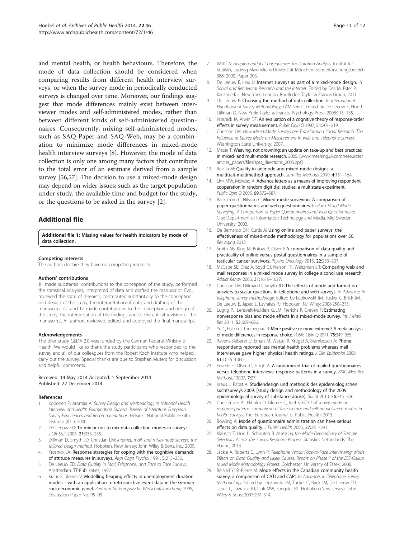<span id="page-10-0"></span>and mental health, or health behaviours. Therefore, the mode of data collection should be considered when comparing results from different health interview surveys, or when the survey mode in periodically conducted surveys is changed over time. Moreover, our findings suggest that mode differences mainly exist between interviewer modes and self-administered modes, rather than between different kinds of self-administered questionnaires. Consequently, mixing self-administered modes, such as SAQ-Paper and SAQ-Web, may be a combination to minimize mode differences in mixed-mode health interview surveys [8]. However, the mode of data collection is only one among many factors that contribute to the total error of an estimate derived from a sample survey [\[56,57](#page-11-0)]. The decision to use a mixed-mode design may depend on wider issues; such as the target population under study, the available time and budget for the study, or the questions to be asked in the survey [2].

# Additional file

[Additional file 1:](http://www.biomedcentral.com/content/supplementary/2049-3258-72-46-S1.pdf) Missing values for health indicators by mode of data collection.

#### Competing interests

The authors declare they have no competing interests.

#### Authors' contributions

JH made substantial contributions to the conception of the study, performed the statistical analyses, interpreted of data and drafted the manuscript. EvdL reviewed the state of research, contributed substantially to the conception and design of the study, the interpretation of data, and drafting of the manuscript. CL and TZ made contributions to the conception and design of the study, the interpretation of the findings and to the critical revision of the manuscript. All authors reviewed, edited, and approved the final manuscript.

#### Acknowledgements

The pilot study GEDA 2.0 was funded by the German Federal Ministry of Health. We would like to thank the study participants who responded to the survey and all of our colleagues from the Robert Koch Institute who helped carry out the survey. Special thanks are due to Stephan Müters for discussion and helpful comments.

#### Received: 14 May 2014 Accepted: 1 September 2014 Published: 22 December 2014

#### References

- 1. Koponen P, Aromaa A: Survey Design and Methodology in National Health Interview and Health Examination Surveys. Review of Literature, European Survey Experiences and Recommendations. Helsinki: National Public Health Institute (KTL); 2000.
- 2. De Leeuw ED: To mix or not to mix data collection modes in surveys. J Off Stat 2005, 21:233–255.
- 3. Dillman D, Smyth JD, Christian LM: Internet, mail, and misex-node surveys: the tailored design method. Hoboken, New Jersey: John Wiley & Sons, Inc.; 2009.
- 4. Krosnick JA: Response strategies for coping with the cognitive demands of attitude measures in surveys. Appl Cogn Psychol 1991, 5:213–236.
- De Leeuw ED: Data Quality in Mail, Telephone, and Face to Face Surveys. Amsterdam: TT-Publikaties; 1992.
- Kraus F, Steiner V: Modelling heaping effects in unemployment duration models - with an application to retrospective event data in the German socio-economic panel. Zentrum für Europäische Wirtschaftsforschung 1995, Discussion Paper No. 95–09.
- 7. Wolff A: Heaping and its Consequences for Duration Analysis. Institut für Statistik, Ludwig-Maximilians-Universität München: Sonderforschungsbereich 386; 2000. Paper 203.
- De Leeuw E, Hox JJ: Internet surveys as part of a mixed-mode design. In Social and Behavioral Research and the Internet. Edited by Das M, Ester P, Kaczmirek L. New York, London: Routledge Taylor & Francis Group; 2011.
- 9. De Leeuw E: Choosing the method of data collection. In International Handbook of Survey Methodology, EAM series. Edited by De Leeuw E, Hox JJ, Dillman D. New York: Taylor & Francis, Prychology Press; 2008:113–135.
- 10. Krosnick JA, Alwin DF: An evaluation of a cognitive theory of response-order effects in survey measurement. Public Opin Q 1987, 51:201-219.
- 11. Christian LM: How Mixed-Mode Surveys are Transforming Social Research: The Influence of Survey Mode on Measurement in web and Telephone Surveys. Washington State University; 2007.
- 12. Macer T: Weaving, not drowning: an update on take-up and best practices in mixed- and multi-mode research. 2005. [\[www.meaning.uk.com/resources/](http://www.meaning.uk.com/resources/articles_papers/files/spss_directions_2005.pps) [articles\\_papers/files/spss\\_directions\\_2005.pps\]](http://www.meaning.uk.com/resources/articles_papers/files/spss_directions_2005.pps)
- 13. Revilla M: Quality in unimode and mixed-mode designs: a multitrait-multimethod approach. Surv Res Methods 2010, 4:151–164.
- 14. Link MW, Mokdad A: Advance letters as a means of improving respondent cooperation in random digit dial studies: a multistate experiment. Public Opin Q 2005, 69:572–587.
- 15. Bäckström C, Nilsson C: Mixed mode surveying. A comparison of paper-questionnaires and web-questionnaires. In Book Mixed Mode Surveying. A Comparison of Paper-Questionnaires and web-Questionnaires. City: Department of Information Technology and Media, Mid Sweden University; 2002.
- 16. De Bernardo DH, Curtis A: Using online and paper surveys: the effectiveness of mixed-mode methodology for populations over 50. Res Aging 2012.
- 17. Smith AB, King M, Butow P, Olver I: A comparison of data quality and practicality of online versus postal questionnaires in a sample of testicular cancer survivors. Psycho-Oncology 2013, 22:233–237.
- 18. McCabe SE, Diez A, Boyd CJ, Nelson TF, Weitzman ER: Comparing web and mail responses in a mixed mode survey in college alcohol use research. Addict Behav 2006, 31:1619-1627.
- 19. Christian LM, Dillman D, Smyth JD: The effects of mode and format on answers to scalar questions in telephone and web surveys. In Advances in telephone survey methodology. Edited by Lepkowski JM, Tucker C, Brick JM, De Leeuw E, Japec L, Lavrakas PJ. Hoboken, NJ: Wiley; 2008:250–275.
- 20. Lugtig PJ, Lensvelt-Mulders GJLM, Frerichs R, Greven F: Estimating nonresponse bias and mode effects in a mixed-mode survey. Int J Mark Res 2011, 53:669-686.
- 21. Ye C, Fulton J, Tourangeau R: More positive or more extreme? A meta-analysis of mode differences in response choice. Public Opin Q 2011, 75:349–365.
- 22. Ravens-Sieberer U, Erhart M, Wetzel R, Krügel A, Brambosch A: Phone respondents reported less mental health problems whereas mail interviewee gave higher physical health ratings. J Clin Epidemiol 2008, 61:1056–1060.
- 23. Feveile H, Olsen O, Hogh A: A randomized trial of mailed questionnaires versus telephone interviews: response patterns in a survey. BMC Med Res Methodol 2007, 7:27.
- 24. Kraus L, Pabst A: Studiendesign und methodik des epidemiologischen suchtsurveys 2009. [study design and methodology of the 2009 epidemiological survey of substance abuse]. Sucht 2010, 56:315–326.
- 25. Christensen AI, Ekholm O, Glümer C, Juel K: Effect of survey mode on response patterns: comparison of face-to-face and self-administered modes in health surveys. The: European Journal of Public Health; 2013.
- 26. Bowling A: Mode of questionnaire administration can have serious effects on data quality. J Public Health 2005, 27:281–291.
- 27. Klausch T, Hox JJ, Schouten B: Assessing the Mode-Dependency of Sample Selectivity Across the Survey Response Process. Statistics Netherlands: The Hague; 2013.
- 28. Jäckle A, Roberts C, Lynn P: Telephone Versus Face-to-Face Interviewing: Mode Effects on Data Quality and Likely Causes. Report on Phase II of the ESS-Gallup Mixed Mode Methodology Projekt. Colchester: University of Essex; 2006.
- 29. Béland Y, St-Pierre M: Mode effects in the Canadian community health survey: a comparison of CATI and CAPI. In Advances in Telephone Survey Methodology. Edited by Lepkowski JM, Tucker C, Brick JM, De Leeuw ED, Japec L, Lavrakas PJ, Link MW, Sangster RL. Hoboken (New Jersey): John Wiley & Sons; 2007:297–314.